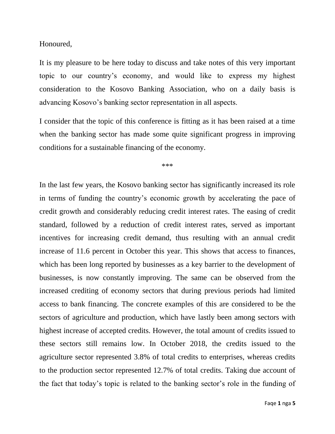Honoured,

It is my pleasure to be here today to discuss and take notes of this very important topic to our country's economy, and would like to express my highest consideration to the Kosovo Banking Association, who on a daily basis is advancing Kosovo's banking sector representation in all aspects.

I consider that the topic of this conference is fitting as it has been raised at a time when the banking sector has made some quite significant progress in improving conditions for a sustainable financing of the economy.

\*\*\*

In the last few years, the Kosovo banking sector has significantly increased its role in terms of funding the country's economic growth by accelerating the pace of credit growth and considerably reducing credit interest rates. The easing of credit standard, followed by a reduction of credit interest rates, served as important incentives for increasing credit demand, thus resulting with an annual credit increase of 11.6 percent in October this year. This shows that access to finances, which has been long reported by businesses as a key barrier to the development of businesses, is now constantly improving. The same can be observed from the increased crediting of economy sectors that during previous periods had limited access to bank financing. The concrete examples of this are considered to be the sectors of agriculture and production, which have lastly been among sectors with highest increase of accepted credits. However, the total amount of credits issued to these sectors still remains low. In October 2018, the credits issued to the agriculture sector represented 3.8% of total credits to enterprises, whereas credits to the production sector represented 12.7% of total credits. Taking due account of the fact that today's topic is related to the banking sector's role in the funding of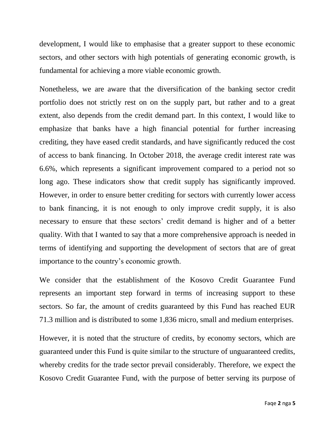development, I would like to emphasise that a greater support to these economic sectors, and other sectors with high potentials of generating economic growth, is fundamental for achieving a more viable economic growth.

Nonetheless, we are aware that the diversification of the banking sector credit portfolio does not strictly rest on on the supply part, but rather and to a great extent, also depends from the credit demand part. In this context, I would like to emphasize that banks have a high financial potential for further increasing crediting, they have eased credit standards, and have significantly reduced the cost of access to bank financing. In October 2018, the average credit interest rate was 6.6%, which represents a significant improvement compared to a period not so long ago. These indicators show that credit supply has significantly improved. However, in order to ensure better crediting for sectors with currently lower access to bank financing, it is not enough to only improve credit supply, it is also necessary to ensure that these sectors' credit demand is higher and of a better quality. With that I wanted to say that a more comprehensive approach is needed in terms of identifying and supporting the development of sectors that are of great importance to the country's economic growth.

We consider that the establishment of the Kosovo Credit Guarantee Fund represents an important step forward in terms of increasing support to these sectors. So far, the amount of credits guaranteed by this Fund has reached EUR 71.3 million and is distributed to some 1,836 micro, small and medium enterprises.

However, it is noted that the structure of credits, by economy sectors, which are guaranteed under this Fund is quite similar to the structure of unguaranteed credits, whereby credits for the trade sector prevail considerably. Therefore, we expect the Kosovo Credit Guarantee Fund, with the purpose of better serving its purpose of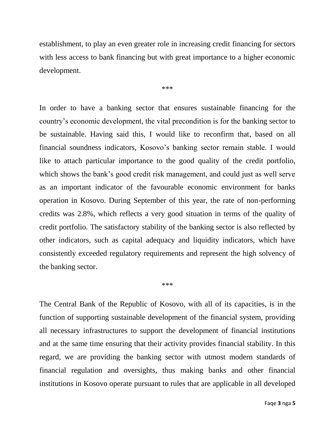establishment, to play an even greater role in increasing credit financing for sectors with less access to bank financing but with great importance to a higher economic development.

\*\*\*

In order to have a banking sector that ensures sustainable financing for the country's economic development, the vital precondition is for the banking sector to be sustainable. Having said this, I would like to reconfirm that, based on all financial soundness indicators, Kosovo's banking sector remain stable. I would like to attach particular importance to the good quality of the credit portfolio, which shows the bank's good credit risk management, and could just as well serve as an important indicator of the favourable economic environment for banks operation in Kosovo. During September of this year, the rate of non-performing credits was 2.8%, which reflects a very good situation in terms of the quality of credit portfolio. The satisfactory stability of the banking sector is also reflected by other indicators, such as capital adequacy and liquidity indicators, which have consistently exceeded regulatory requirements and represent the high solvency of the banking sector.

## \*\*\*

The Central Bank of the Republic of Kosovo, with all of its capacities, is in the function of supporting sustainable development of the financial system, providing all necessary infrastructures to support the development of financial institutions and at the same time ensuring that their activity provides financial stability. In this regard, we are providing the banking sector with utmost modern standards of financial regulation and oversights, thus making banks and other financial institutions in Kosovo operate pursuant to rules that are applicable in all developed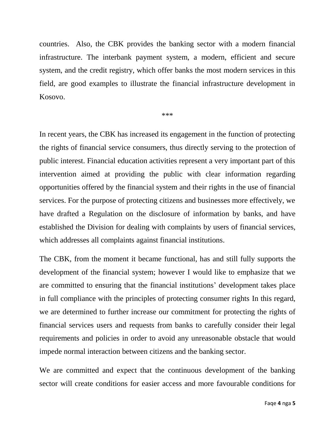countries. Also, the CBK provides the banking sector with a modern financial infrastructure. The interbank payment system, a modern, efficient and secure system, and the credit registry, which offer banks the most modern services in this field, are good examples to illustrate the financial infrastructure development in Kosovo.

\*\*\*

In recent years, the CBK has increased its engagement in the function of protecting the rights of financial service consumers, thus directly serving to the protection of public interest. Financial education activities represent a very important part of this intervention aimed at providing the public with clear information regarding opportunities offered by the financial system and their rights in the use of financial services. For the purpose of protecting citizens and businesses more effectively, we have drafted a Regulation on the disclosure of information by banks, and have established the Division for dealing with complaints by users of financial services, which addresses all complaints against financial institutions.

The CBK, from the moment it became functional, has and still fully supports the development of the financial system; however I would like to emphasize that we are committed to ensuring that the financial institutions' development takes place in full compliance with the principles of protecting consumer rights In this regard, we are determined to further increase our commitment for protecting the rights of financial services users and requests from banks to carefully consider their legal requirements and policies in order to avoid any unreasonable obstacle that would impede normal interaction between citizens and the banking sector.

We are committed and expect that the continuous development of the banking sector will create conditions for easier access and more favourable conditions for